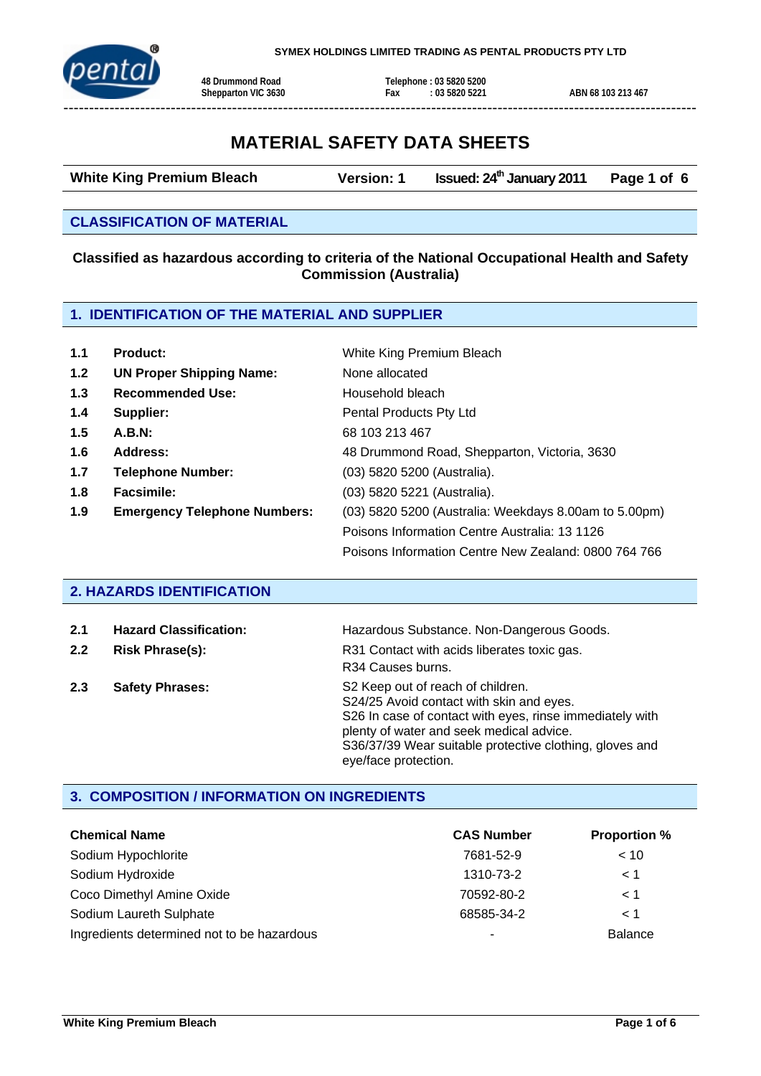

# **MATERIAL SAFETY DATA SHEETS**

White King Premium Bleach **Version: 1** Issued: 24<sup>th</sup> January 2011 Page 1 of 6

#### **CLASSIFICATION OF MATERIAL**

#### **Classified as hazardous according to criteria of the National Occupational Health and Safety Commission (Australia)**

## **1. IDENTIFICATION OF THE MATERIAL AND SUPPLIER**

| 1.1 | <b>Product:</b>                     | White King Premium Bleach                             |
|-----|-------------------------------------|-------------------------------------------------------|
| 1.2 | <b>UN Proper Shipping Name:</b>     | None allocated                                        |
| 1.3 | <b>Recommended Use:</b>             | Household bleach                                      |
| 1.4 | Supplier:                           | Pental Products Pty Ltd                               |
| 1.5 | A.B.N:                              | 68 103 213 467                                        |
| 1.6 | Address:                            | 48 Drummond Road, Shepparton, Victoria, 3630          |
| 1.7 | <b>Telephone Number:</b>            | (03) 5820 5200 (Australia).                           |
| 1.8 | Facsimile:                          | (03) 5820 5221 (Australia).                           |
| 1.9 | <b>Emergency Telephone Numbers:</b> | (03) 5820 5200 (Australia: Weekdays 8.00am to 5.00pm) |
|     |                                     | Poisons Information Centre Australia: 13 1126         |
|     |                                     | Poisons Information Centre New Zealand: 0800 764 766  |

#### **2. HAZARDS IDENTIFICATION**

| 2.1 | <b>Hazard Classification:</b> | Hazardous Substance. Non-Dangerous Goods.                                                                                                                                                                                                                                |
|-----|-------------------------------|--------------------------------------------------------------------------------------------------------------------------------------------------------------------------------------------------------------------------------------------------------------------------|
| 2.2 | <b>Risk Phrase(s):</b>        | R31 Contact with acids liberates toxic gas.<br>R34 Causes burns.                                                                                                                                                                                                         |
| 2.3 | <b>Safety Phrases:</b>        | S2 Keep out of reach of children.<br>S24/25 Avoid contact with skin and eyes.<br>S26 In case of contact with eyes, rinse immediately with<br>plenty of water and seek medical advice.<br>S36/37/39 Wear suitable protective clothing, gloves and<br>eye/face protection. |

### **3. COMPOSITION / INFORMATION ON INGREDIENTS**

| <b>Chemical Name</b>                       | <b>CAS Number</b>        | <b>Proportion %</b> |
|--------------------------------------------|--------------------------|---------------------|
| Sodium Hypochlorite                        | 7681-52-9                | < 10                |
| Sodium Hydroxide                           | 1310-73-2                | < 1                 |
| Coco Dimethyl Amine Oxide                  | 70592-80-2               | $\leq 1$            |
| Sodium Laureth Sulphate                    | 68585-34-2               | < 1                 |
| Ingredients determined not to be hazardous | $\overline{\phantom{a}}$ | <b>Balance</b>      |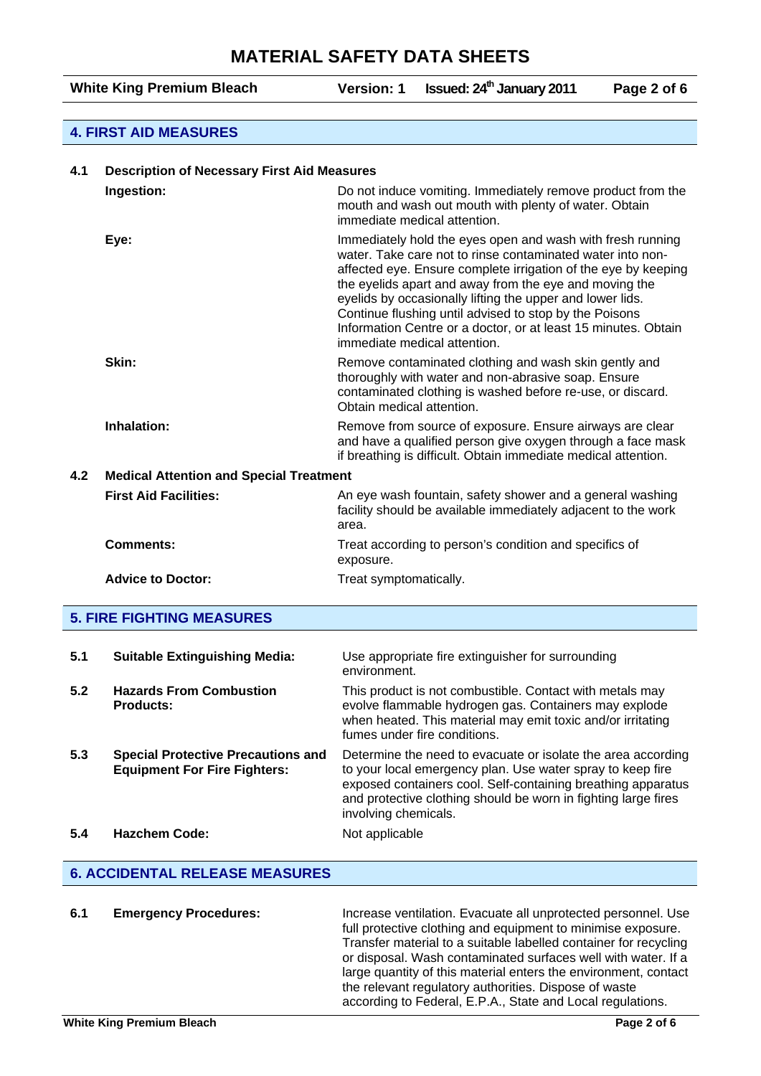White King Premium Bleach **Version: 1** Issued: 24<sup>th</sup> January 2011 Page 2 of 6

#### **4. FIRST AID MEASURES**

| <b>Description of Necessary First Aid Measures</b><br>4.1 |                                                    |                                                                                                                                                                                                                                                                                                                                                                                                                                                                               |
|-----------------------------------------------------------|----------------------------------------------------|-------------------------------------------------------------------------------------------------------------------------------------------------------------------------------------------------------------------------------------------------------------------------------------------------------------------------------------------------------------------------------------------------------------------------------------------------------------------------------|
|                                                           | Ingestion:                                         | Do not induce vomiting. Immediately remove product from the<br>mouth and wash out mouth with plenty of water. Obtain<br>immediate medical attention.                                                                                                                                                                                                                                                                                                                          |
|                                                           | Eye:                                               | Immediately hold the eyes open and wash with fresh running<br>water. Take care not to rinse contaminated water into non-<br>affected eye. Ensure complete irrigation of the eye by keeping<br>the eyelids apart and away from the eye and moving the<br>eyelids by occasionally lifting the upper and lower lids.<br>Continue flushing until advised to stop by the Poisons<br>Information Centre or a doctor, or at least 15 minutes. Obtain<br>immediate medical attention. |
|                                                           | Skin:                                              | Remove contaminated clothing and wash skin gently and<br>thoroughly with water and non-abrasive soap. Ensure<br>contaminated clothing is washed before re-use, or discard.<br>Obtain medical attention.                                                                                                                                                                                                                                                                       |
|                                                           | Inhalation:                                        | Remove from source of exposure. Ensure airways are clear<br>and have a qualified person give oxygen through a face mask<br>if breathing is difficult. Obtain immediate medical attention.                                                                                                                                                                                                                                                                                     |
| 4.2                                                       | <b>Medical Attention and Special Treatment</b>     |                                                                                                                                                                                                                                                                                                                                                                                                                                                                               |
|                                                           | <b>First Aid Facilities:</b>                       | An eye wash fountain, safety shower and a general washing<br>facility should be available immediately adjacent to the work<br>area.                                                                                                                                                                                                                                                                                                                                           |
|                                                           | <b>Comments:</b>                                   | Treat according to person's condition and specifics of<br>exposure.                                                                                                                                                                                                                                                                                                                                                                                                           |
|                                                           | <b>Advice to Doctor:</b>                           | Treat symptomatically.                                                                                                                                                                                                                                                                                                                                                                                                                                                        |
|                                                           | <b>5. FIRE FIGHTING MEASURES</b>                   |                                                                                                                                                                                                                                                                                                                                                                                                                                                                               |
| 5.1                                                       | <b>Suitable Extinguishing Media:</b>               | Use appropriate fire extinguisher for surrounding<br>environment.                                                                                                                                                                                                                                                                                                                                                                                                             |
| 5.2                                                       | <b>Hazards From Combustion</b><br><b>Products:</b> | This product is not combustible. Contact with metals may<br>evolve flammable hydrogen gas. Containers may explode                                                                                                                                                                                                                                                                                                                                                             |

fumes under fire conditions. **5.3 Special Protective Precautions and Equipment For Fire Fighters:** Determine the need to evacuate or isolate the area according to your local emergency plan. Use water spray to keep fire exposed containers cool. Self-containing breathing apparatus and protective clothing should be worn in fighting large fires involving chemicals. **5.4 • Hazchem Code:** Not applicable

when heated. This material may emit toxic and/or irritating

#### **6. ACCIDENTAL RELEASE MEASURES**

**6.1 Emergency Procedures:** Increase ventilation. Evacuate all unprotected personnel. Use full protective clothing and equipment to minimise exposure. Transfer material to a suitable labelled container for recycling or disposal. Wash contaminated surfaces well with water. If a large quantity of this material enters the environment, contact the relevant regulatory authorities. Dispose of waste according to Federal, E.P.A., State and Local regulations.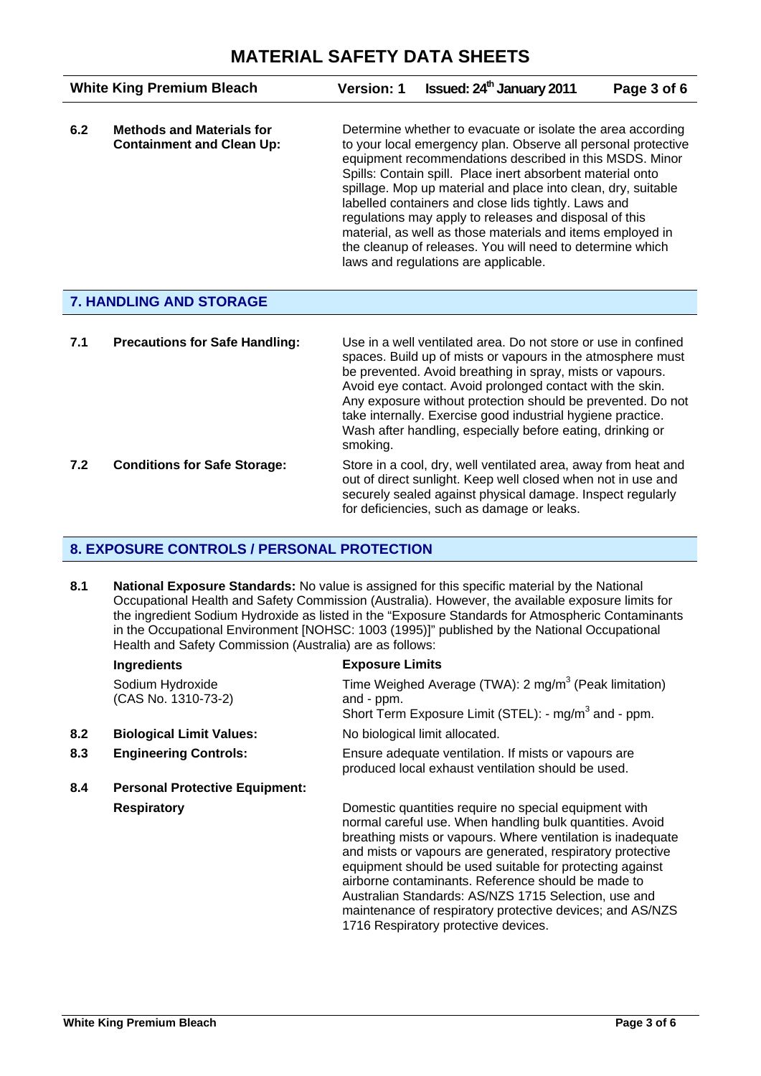| <b>White King Premium Bleach</b> |                                                                      | <b>Version: 1</b> | <b>Issued: 24<sup>th</sup> January 2011</b>                                                                                                                                                                                                                                                                                                                                                                                                                                                                                                                                                                 | Page 3 of 6 |
|----------------------------------|----------------------------------------------------------------------|-------------------|-------------------------------------------------------------------------------------------------------------------------------------------------------------------------------------------------------------------------------------------------------------------------------------------------------------------------------------------------------------------------------------------------------------------------------------------------------------------------------------------------------------------------------------------------------------------------------------------------------------|-------------|
| 6.2                              | <b>Methods and Materials for</b><br><b>Containment and Clean Up:</b> |                   | Determine whether to evacuate or isolate the area according<br>to your local emergency plan. Observe all personal protective<br>equipment recommendations described in this MSDS. Minor<br>Spills: Contain spill. Place inert absorbent material onto<br>spillage. Mop up material and place into clean, dry, suitable<br>labelled containers and close lids tightly. Laws and<br>regulations may apply to releases and disposal of this<br>material, as well as those materials and items employed in<br>the cleanup of releases. You will need to determine which<br>laws and regulations are applicable. |             |

## **7. HANDLING AND STORAGE**

| 7.1 | <b>Precautions for Safe Handling:</b> | Use in a well ventilated area. Do not store or use in confined<br>spaces. Build up of mists or vapours in the atmosphere must<br>be prevented. Avoid breathing in spray, mists or vapours.<br>Avoid eye contact. Avoid prolonged contact with the skin.<br>Any exposure without protection should be prevented. Do not<br>take internally. Exercise good industrial hygiene practice.<br>Wash after handling, especially before eating, drinking or<br>smoking. |
|-----|---------------------------------------|-----------------------------------------------------------------------------------------------------------------------------------------------------------------------------------------------------------------------------------------------------------------------------------------------------------------------------------------------------------------------------------------------------------------------------------------------------------------|
| 7.2 | <b>Conditions for Safe Storage:</b>   | Store in a cool, dry, well ventilated area, away from heat and<br>out of direct sunlight. Keep well closed when not in use and<br>securely sealed against physical damage. Inspect regularly<br>for deficiencies, such as damage or leaks.                                                                                                                                                                                                                      |

## **8. EXPOSURE CONTROLS / PERSONAL PROTECTION**

8.1 National Exposure Standards: No value is assigned for this specific material by the National Occupational Health and Safety Commission (Australia). However, the available exposure limits for the ingredient Sodium Hydroxide as listed in the "Exposure Standards for Atmospheric Contaminants in the Occupational Environment [NOHSC: 1003 (1995)]" published by the National Occupational Health and Safety Commission (Australia) are as follows:

|     | Ingredients                             | <b>Exposure Limits</b>                                                                                                                                                                                                                                                                                                                                                                                                                                                                                                        |  |
|-----|-----------------------------------------|-------------------------------------------------------------------------------------------------------------------------------------------------------------------------------------------------------------------------------------------------------------------------------------------------------------------------------------------------------------------------------------------------------------------------------------------------------------------------------------------------------------------------------|--|
|     | Sodium Hydroxide<br>(CAS No. 1310-73-2) | Time Weighed Average (TWA): 2 mg/m <sup>3</sup> (Peak limitation)<br>and - ppm.<br>Short Term Exposure Limit (STEL): - mg/m <sup>3</sup> and - ppm.                                                                                                                                                                                                                                                                                                                                                                           |  |
| 8.2 | <b>Biological Limit Values:</b>         | No biological limit allocated.                                                                                                                                                                                                                                                                                                                                                                                                                                                                                                |  |
| 8.3 | <b>Engineering Controls:</b>            | Ensure adequate ventilation. If mists or vapours are<br>produced local exhaust ventilation should be used.                                                                                                                                                                                                                                                                                                                                                                                                                    |  |
| 8.4 | <b>Personal Protective Equipment:</b>   |                                                                                                                                                                                                                                                                                                                                                                                                                                                                                                                               |  |
|     | <b>Respiratory</b>                      | Domestic quantities require no special equipment with<br>normal careful use. When handling bulk quantities. Avoid<br>breathing mists or vapours. Where ventilation is inadequate<br>and mists or vapours are generated, respiratory protective<br>equipment should be used suitable for protecting against<br>airborne contaminants. Reference should be made to<br>Australian Standards: AS/NZS 1715 Selection, use and<br>maintenance of respiratory protective devices; and AS/NZS<br>1716 Respiratory protective devices. |  |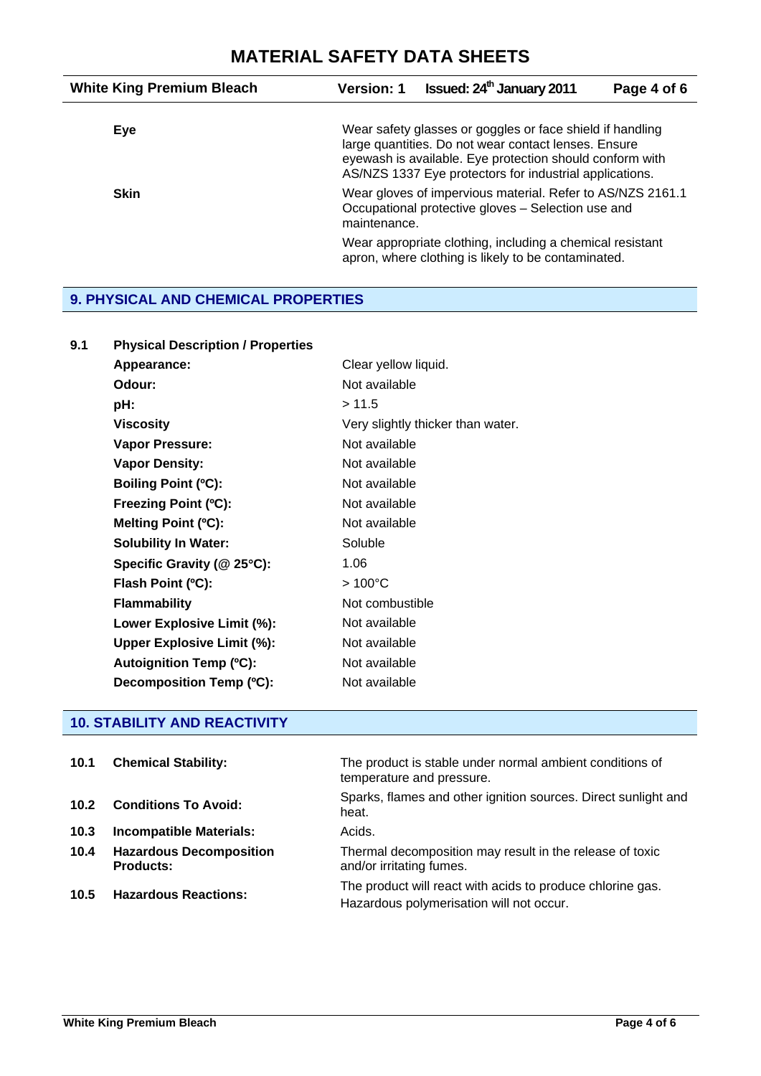| <b>White King Premium Bleach</b> | <b>Version: 1</b> | <b>Issued: 24<sup>th</sup> January 2011</b>                                                                                                                                                                                              | Page 4 of 6 |
|----------------------------------|-------------------|------------------------------------------------------------------------------------------------------------------------------------------------------------------------------------------------------------------------------------------|-------------|
| Eye                              |                   | Wear safety glasses or goggles or face shield if handling<br>large quantities. Do not wear contact lenses. Ensure<br>eyewash is available. Eye protection should conform with<br>AS/NZS 1337 Eye protectors for industrial applications. |             |
| <b>Skin</b>                      | maintenance.      | Wear gloves of impervious material. Refer to AS/NZS 2161.1<br>Occupational protective gloves - Selection use and                                                                                                                         |             |
|                                  |                   | Wear appropriate clothing, including a chemical resistant<br>apron, where clothing is likely to be contaminated.                                                                                                                         |             |

## **9. PHYSICAL AND CHEMICAL PROPERTIES**

| 9.1 | <b>Physical Description / Properties</b> |                                   |
|-----|------------------------------------------|-----------------------------------|
|     | Appearance:                              | Clear yellow liquid.              |
|     | Odour:                                   | Not available                     |
|     | pH:                                      | >11.5                             |
|     | <b>Viscosity</b>                         | Very slightly thicker than water. |
|     | Vapor Pressure:                          | Not available                     |
|     | <b>Vapor Density:</b>                    | Not available                     |
|     | <b>Boiling Point (°C):</b>               | Not available                     |
|     | Freezing Point (°C):                     | Not available                     |
|     | Melting Point (°C):                      | Not available                     |
|     | <b>Solubility In Water:</b>              | Soluble                           |
|     | Specific Gravity (@ 25°C):               | 1.06                              |
|     | Flash Point (°C):                        | $>100^{\circ}$ C                  |
|     | <b>Flammability</b>                      | Not combustible                   |
|     | Lower Explosive Limit (%):               | Not available                     |
|     | <b>Upper Explosive Limit (%):</b>        | Not available                     |
|     | <b>Autoignition Temp (°C):</b>           | Not available                     |
|     | Decomposition Temp (°C):                 | Not available                     |

## **10. STABILITY AND REACTIVITY**

| 10.1 | <b>Chemical Stability:</b>                         | The product is stable under normal ambient conditions of<br>temperature and pressure.                  |
|------|----------------------------------------------------|--------------------------------------------------------------------------------------------------------|
| 10.2 | <b>Conditions To Avoid:</b>                        | Sparks, flames and other ignition sources. Direct sunlight and<br>heat.                                |
| 10.3 | <b>Incompatible Materials:</b>                     | Acids.                                                                                                 |
| 10.4 | <b>Hazardous Decomposition</b><br><b>Products:</b> | Thermal decomposition may result in the release of toxic<br>and/or irritating fumes.                   |
| 10.5 | <b>Hazardous Reactions:</b>                        | The product will react with acids to produce chlorine gas.<br>Hazardous polymerisation will not occur. |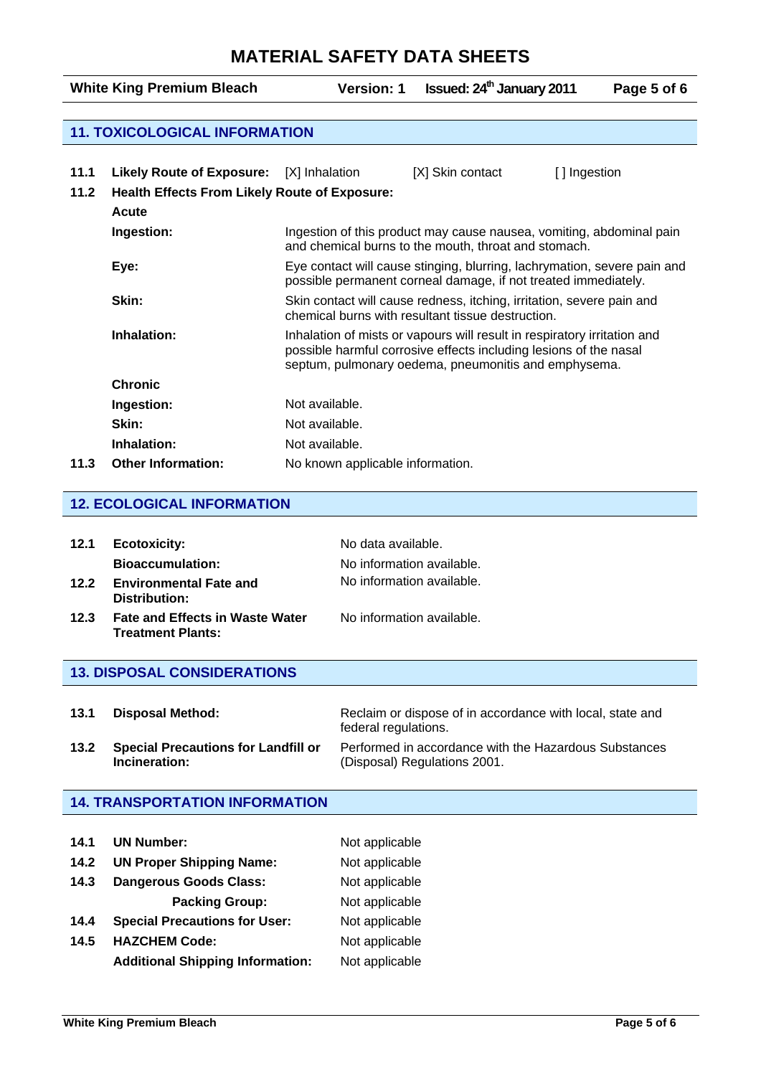# **MATERIAL SAFETY DATA SHEETS**

| <b>White King Premium Bleach</b> |                                                      | <b>Version: 1</b>                                                                                                                                                                                     | <b>Issued: 24<sup>th</sup> January 2011</b> |              | Page 5 of 6 |
|----------------------------------|------------------------------------------------------|-------------------------------------------------------------------------------------------------------------------------------------------------------------------------------------------------------|---------------------------------------------|--------------|-------------|
|                                  |                                                      |                                                                                                                                                                                                       |                                             |              |             |
|                                  | <b>11. TOXICOLOGICAL INFORMATION</b>                 |                                                                                                                                                                                                       |                                             |              |             |
|                                  |                                                      |                                                                                                                                                                                                       |                                             |              |             |
| 11.1                             | <b>Likely Route of Exposure:</b>                     | [X] Inhalation                                                                                                                                                                                        | [X] Skin contact                            | [] Ingestion |             |
| 11.2                             | <b>Health Effects From Likely Route of Exposure:</b> |                                                                                                                                                                                                       |                                             |              |             |
|                                  | Acute                                                |                                                                                                                                                                                                       |                                             |              |             |
|                                  | Ingestion:                                           | Ingestion of this product may cause nausea, vomiting, abdominal pain<br>and chemical burns to the mouth, throat and stomach.                                                                          |                                             |              |             |
|                                  | Eye:                                                 | Eye contact will cause stinging, blurring, lachrymation, severe pain and<br>possible permanent corneal damage, if not treated immediately.                                                            |                                             |              |             |
|                                  | Skin:                                                | Skin contact will cause redness, itching, irritation, severe pain and<br>chemical burns with resultant tissue destruction.                                                                            |                                             |              |             |
|                                  | Inhalation:                                          | Inhalation of mists or vapours will result in respiratory irritation and<br>possible harmful corrosive effects including lesions of the nasal<br>septum, pulmonary oedema, pneumonitis and emphysema. |                                             |              |             |
|                                  | <b>Chronic</b>                                       |                                                                                                                                                                                                       |                                             |              |             |
|                                  | Ingestion:                                           | Not available.                                                                                                                                                                                        |                                             |              |             |
|                                  | Skin:                                                | Not available.                                                                                                                                                                                        |                                             |              |             |
|                                  | Inhalation:                                          | Not available.                                                                                                                                                                                        |                                             |              |             |
| 11.3                             | <b>Other Information:</b>                            | No known applicable information.                                                                                                                                                                      |                                             |              |             |

#### **12. ECOLOGICAL INFORMATION**

| 12.1<br>12.2 | <b>Ecotoxicity:</b><br><b>Bioaccumulation:</b><br><b>Environmental Fate and</b><br>Distribution: | No data available.<br>No information available.<br>No information available. |
|--------------|--------------------------------------------------------------------------------------------------|------------------------------------------------------------------------------|
| 12.3         | <b>Fate and Effects in Waste Water</b><br><b>Treatment Plants:</b>                               | No information available.                                                    |
|              | <b>13. DISPOSAL CONSIDERATIONS</b>                                                               |                                                                              |
|              |                                                                                                  |                                                                              |

| 13.1 | <b>Disposal Method:</b>                                     | Reclaim or dispose of in accordance with local, state and<br>federal regulations.     |
|------|-------------------------------------------------------------|---------------------------------------------------------------------------------------|
| 13.2 | <b>Special Precautions for Landfill or</b><br>Incineration: | Performed in accordance with the Hazardous Substances<br>(Disposal) Regulations 2001. |

### **14. TRANSPORTATION INFORMATION**

| 14.1 | <b>UN Number:</b>                               | Not applicable |
|------|-------------------------------------------------|----------------|
| 14.2 | <b>UN Proper Shipping Name:</b>                 | Not applicable |
| 14.3 | <b>Dangerous Goods Class:</b><br>Not applicable |                |
|      | <b>Packing Group:</b>                           | Not applicable |
| 14.4 | <b>Special Precautions for User:</b>            | Not applicable |
| 14.5 | <b>HAZCHEM Code:</b><br>Not applicable          |                |
|      | <b>Additional Shipping Information:</b>         | Not applicable |